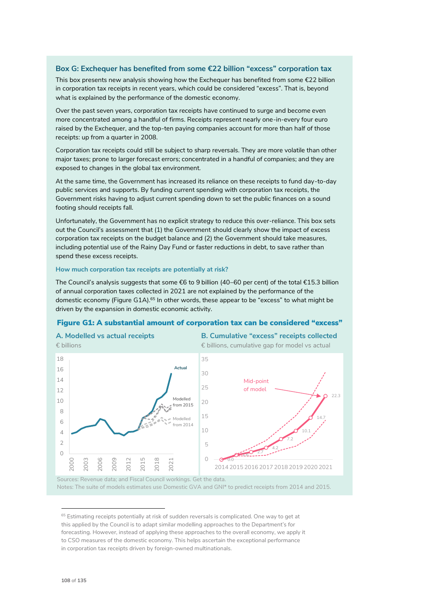# **Box G: Exchequer has benefited from some €22 billion "excess" corporation tax**

This box presents new analysis showing how the Exchequer has benefited from some  $E$ 22 billion in corporation tax receipts in recent years, which could be considered "excess". That is, beyond what is explained by the performance of the domestic economy.

Over the past seven years, corporation tax receipts have continued to surge and become even more concentrated among a handful of firms. Receipts represent nearly one-in-every four euro raised by the Exchequer, and the top-ten paying companies account for more than half of those receipts: up from a quarter in 2008.

Corporation tax receipts could still be subject to sharp reversals. They are more volatile than other major taxes; prone to larger forecast errors; concentrated in a handful of companies; and they are exposed to changes in the global tax environment.

At the same time, the Government has increased its reliance on these receipts to fund day-to-day public services and supports. By funding current spending with corporation tax receipts, the Government risks having to adjust current spending down to set the public finances on a sound footing should receipts fall.

Unfortunately, the Government has no explicit strategy to reduce this over-reliance. This box sets out the Council's assessment that (1) the Government should clearly show the impact of excess corporation tax receipts on the budget balance and (2) the Government should take measures, including potential use of the Rainy Day Fund or faster reductions in debt, to save rather than spend these excess receipts.

### **How much corporation tax receipts are potentially at risk?**

The Council's analysis suggests that some €6 to 9 billion (40–60 per cent) of the total €15.3 billion of annual corporation taxes collected in 2021 are not explained by the performance of the domestic economy (Figure G1A). <sup>65</sup> In other words, these appear to be "excess" to what might be driven by the expansion in domestic economic activity.

## Figure G1: A substantial amount of corporation tax can be considered "excess"



Notes: The suite of models estimates use Domestic GVA and GNI\* to predict receipts from 2014 and 2015.

<sup>&</sup>lt;sup>65</sup> Estimating receipts potentially at risk of sudden reversals is complicated. One way to get at this applied by the Council is to adapt similar modelling approaches to the Department's for forecasting. However, instead of applying these approaches to the overall economy, we apply it to CSO measures of the domestic economy. This helps ascertain the exceptional performance in corporation tax receipts driven by foreign-owned multinationals.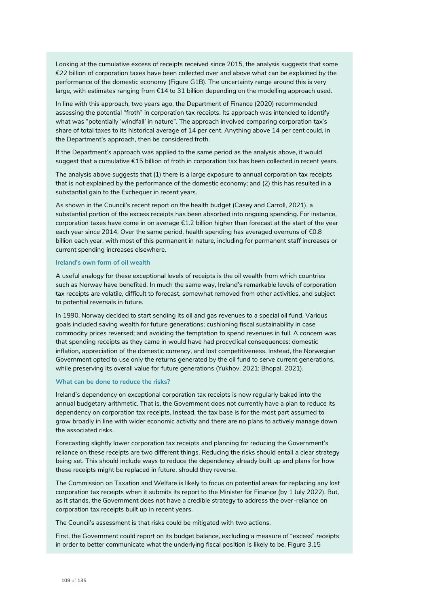Looking at the cumulative excess of receipts received since 2015, the analysis suggests that some €22 billion of corporation taxes have been collected over and above what can be explained by the performance of the domestic economy (Figure G1B). The uncertainty range around this is very large, with estimates ranging from €14 to 31 billion depending on the modelling approach used.

In line with this approach, two years ago, the Department of Finance (2020) recommended assessing the potential "froth" in corporation tax receipts. Its approach was intended to identify what was "potentially 'windfall' in nature". The approach involved comparing corporation tax's share of total taxes to its historical average of 14 per cent. Anything above 14 per cent could, in the Department's approach, then be considered froth.

If the Department's approach was applied to the same period as the analysis above, it would suggest that a cumulative €15 billion of froth in corporation tax has been collected in recent years.

The analysis above suggests that (1) there is a large exposure to annual corporation tax receipts that is *not* explained by the performance of the domestic economy; and (2) this has resulted in a substantial gain to the Exchequer in recent years.

As shown in the Council's recent report on the health budget (Casey and Carroll, 2021), a substantial portion of the excess receipts has been absorbed into ongoing spending. For instance, corporation taxes have come in on average €1.2 billion higher than forecast at the start of the year each year since 2014. Over the same period, health spending has averaged overruns of €0.8 billion each year, with most of this permanent in nature, including for permanent staff increases or current spending increases elsewhere.

### **Ireland's own form of oil wealth**

A useful analogy for these exceptional levels of receipts is the oil wealth from which countries such as Norway have benefited. In much the same way, Ireland's remarkable levels of corporation tax receipts are volatile, difficult to forecast, somewhat removed from other activities, and subject to potential reversals in future.

In 1990, Norway decided to start sending its oil and gas revenues to a special oil fund. Various goals included saving wealth for future generations; cushioning fiscal sustainability in case commodity prices reversed; and avoiding the temptation to spend revenues in full. A concern was that spending receipts as they came in would have had procyclical consequences: domestic inflation, appreciation of the domestic currency, and lost competitiveness. Instead, the Norwegian Government opted to use only the returns generated by the oil fund to serve current generations, while preserving its overall value for future generations (Yukhov, 2021; Bhopal, 2021).

### **What can be done to reduce the risks?**

Ireland's dependency on exceptional corporation tax receipts is now regularly baked into the annual budgetary arithmetic. That is, the Government does not currently have a plan to reduce its dependency on corporation tax receipts. Instead, the tax base is for the most part assumed to grow broadly in line with wider economic activity and there are no plans to actively manage down the associated risks.

Forecasting slightly lower corporation tax receipts and planning for reducing the Government's reliance on these receipts are two different things. Reducing the risks should entail a clear strategy being set. This should include ways to reduce the dependency already built up and plans for how these receipts might be replaced in future, should they reverse.

The Commission on Taxation and Welfare is likely to focus on potential areas for replacing any lost corporation tax receipts when it submits its report to the Minister for Finance (by 1 July 2022). But, as it stands, the Government does not have a credible strategy to address the over-reliance on corporation tax receipts built up in recent years.

The Council's assessment is that risks could be mitigated with two actions.

First, the Government could report on its budget balance, excluding a measure of "excess" receipts in order to better communicate what the underlying fiscal position is likely to be. Figure 3.15